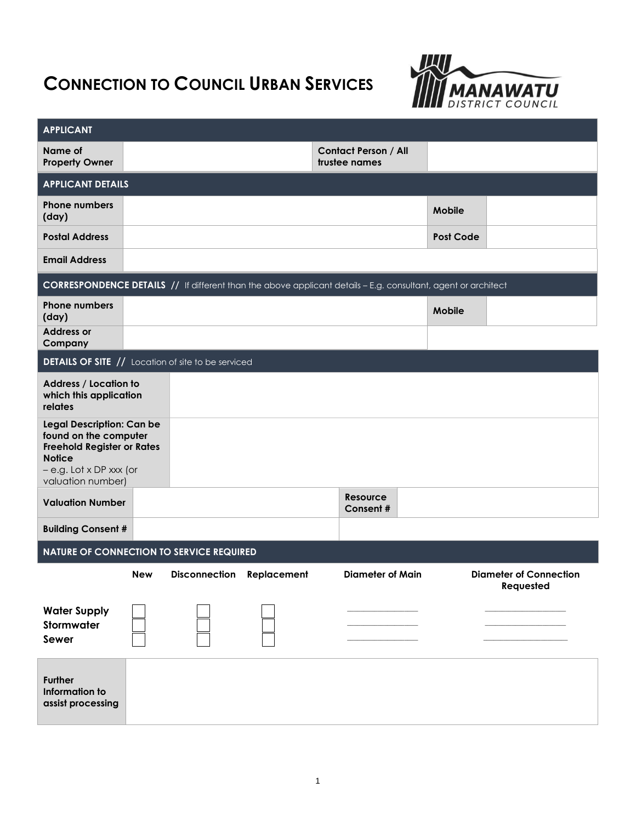# **CONNECTION TO COUNCIL URBAN SERVICES**



| <b>APPLICANT</b>                                                                                                                                         |            |                      |             |                                                                                                                      |                  |                                            |
|----------------------------------------------------------------------------------------------------------------------------------------------------------|------------|----------------------|-------------|----------------------------------------------------------------------------------------------------------------------|------------------|--------------------------------------------|
| Name of<br><b>Property Owner</b>                                                                                                                         |            |                      |             | <b>Contact Person / All</b><br>trustee names                                                                         |                  |                                            |
| <b>APPLICANT DETAILS</b>                                                                                                                                 |            |                      |             |                                                                                                                      |                  |                                            |
| <b>Phone numbers</b><br>(day)                                                                                                                            |            |                      |             |                                                                                                                      | <b>Mobile</b>    |                                            |
| <b>Postal Address</b>                                                                                                                                    |            |                      |             |                                                                                                                      | <b>Post Code</b> |                                            |
| <b>Email Address</b>                                                                                                                                     |            |                      |             |                                                                                                                      |                  |                                            |
|                                                                                                                                                          |            |                      |             | <b>CORRESPONDENCE DETAILS //</b> If different than the above applicant details - E.g. consultant, agent or architect |                  |                                            |
| <b>Phone numbers</b><br>(day)                                                                                                                            |            |                      |             |                                                                                                                      | <b>Mobile</b>    |                                            |
| <b>Address or</b><br>Company                                                                                                                             |            |                      |             |                                                                                                                      |                  |                                            |
| <b>DETAILS OF SITE // Location of site to be serviced</b>                                                                                                |            |                      |             |                                                                                                                      |                  |                                            |
| Address / Location to<br>which this application<br>relates                                                                                               |            |                      |             |                                                                                                                      |                  |                                            |
| Legal Description: Can be<br>found on the computer<br><b>Freehold Register or Rates</b><br><b>Notice</b><br>- e.g. Lot x DP xxx (or<br>valuation number) |            |                      |             |                                                                                                                      |                  |                                            |
| <b>Valuation Number</b>                                                                                                                                  |            |                      |             | Resource<br>Consent #                                                                                                |                  |                                            |
| <b>Building Consent #</b>                                                                                                                                |            |                      |             |                                                                                                                      |                  |                                            |
| <b>NATURE OF CONNECTION TO SERVICE REQUIRED</b>                                                                                                          |            |                      |             |                                                                                                                      |                  |                                            |
|                                                                                                                                                          | <b>New</b> | <b>Disconnection</b> | Replacement | <b>Diameter of Main</b>                                                                                              |                  | <b>Diameter of Connection</b><br>Requested |
| <b>Water Supply</b><br>Stormwater<br>Sewer                                                                                                               |            |                      |             |                                                                                                                      |                  |                                            |
| <b>Further</b><br>Information to<br>assist processing                                                                                                    |            |                      |             |                                                                                                                      |                  |                                            |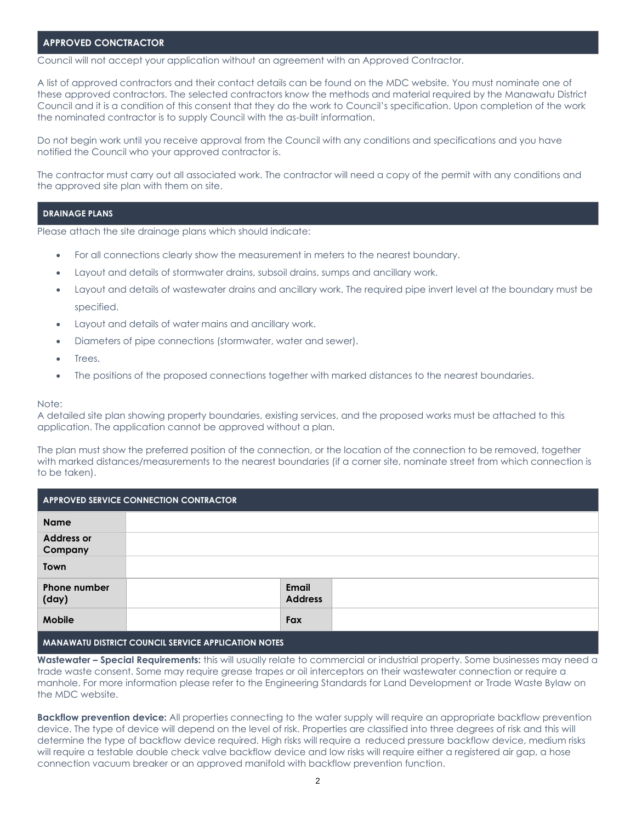## **APPROVED CONCTRACTOR**

Council will not accept your application without an agreement with an Approved Contractor.

A list of approved contractors and their contact details can be found on the MDC website. You must nominate one of these approved contractors. The selected contractors know the methods and material required by the Manawatu District Council and it is a condition of this consent that they do the work to Council's specification. Upon completion of the work the nominated contractor is to supply Council with the as-built information.

Do not begin work until you receive approval from the Council with any conditions and specifications and you have notified the Council who your approved contractor is.

The contractor must carry out all associated work. The contractor will need a copy of the permit with any conditions and the approved site plan with them on site.

#### **DRAINAGE PLANS**

Please attach the site drainage plans which should indicate:

- For all connections clearly show the measurement in meters to the nearest boundary.
- Layout and details of stormwater drains, subsoil drains, sumps and ancillary work.
- Layout and details of wastewater drains and ancillary work. The required pipe invert level at the boundary must be specified.
- Layout and details of water mains and ancillary work.
- Diameters of pipe connections (stormwater, water and sewer).
- Trees.
- The positions of the proposed connections together with marked distances to the nearest boundaries.

#### Note:

A detailed site plan showing property boundaries, existing services, and the proposed works must be attached to this application. The application cannot be approved without a plan.

The plan must show the preferred position of the connection, or the location of the connection to be removed, together with marked distances/measurements to the nearest boundaries (if a corner site, nominate street from which connection is to be taken).

| <b>APPROVED SERVICE CONNECTION CONTRACTOR</b>              |  |                                |  |  |
|------------------------------------------------------------|--|--------------------------------|--|--|
| <b>Name</b>                                                |  |                                |  |  |
| <b>Address or</b><br>Company                               |  |                                |  |  |
| Town                                                       |  |                                |  |  |
| <b>Phone number</b><br>(day)                               |  | <b>Email</b><br><b>Address</b> |  |  |
| Mobile                                                     |  | Fax                            |  |  |
| <b>MANIAULATI BIATRIAT AAIHIAU AFBUAR ABBUAATIAU MATFA</b> |  |                                |  |  |

**MANAWATU DISTRICT COUNCIL SERVICE APPLICATION NOTES** 

**Wastewater – Special Requirements:** this will usually relate to commercial or industrial property. Some businesses may need a trade waste consent. Some may require grease trapes or oil interceptors on their wastewater connection or require a manhole. For more information please refer to the Engineering Standards for Land Development or Trade Waste Bylaw on the MDC website.

**Backflow prevention device:** All properties connecting to the water supply will require an appropriate backflow prevention device. The type of device will depend on the level of risk. Properties are classified into three degrees of risk and this will determine the type of backflow device required. High risks will require a reduced pressure backflow device, medium risks will require a testable double check valve backflow device and low risks will require either a registered air gap, a hose connection vacuum breaker or an approved manifold with backflow prevention function.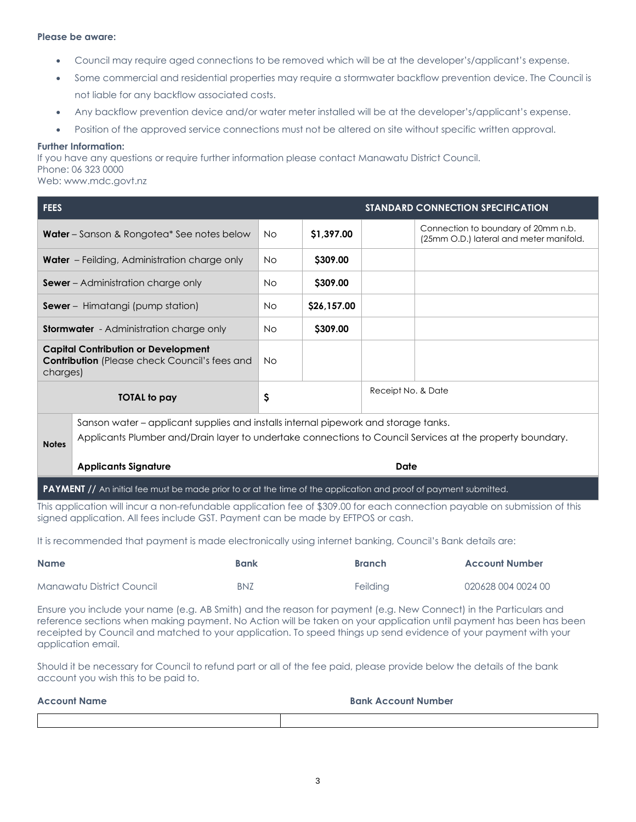# **Please be aware:**

- Council may require aged connections to be removed which will be at the developer's/applicant's expense.
- Some commercial and residential properties may require a stormwater backflow prevention device. The Council is not liable for any backflow associated costs.
- Any backflow prevention device and/or water meter installed will be at the developer's/applicant's expense.
- Position of the approved service connections must not be altered on site without specific written approval.

## **Further Information:**

If you have any questions or require further information please contact Manawatu District Council. Phone: 06 323 0000

Web: www.mdc.govt.nz

| <b>FEES</b>                                                                                                                |           |             |                    | STANDARD CONNECTION SPECIFICATION                                              |
|----------------------------------------------------------------------------------------------------------------------------|-----------|-------------|--------------------|--------------------------------------------------------------------------------|
| <b>Water</b> – Sanson & Rongotea* See notes below                                                                          |           | \$1,397.00  |                    | Connection to boundary of 20mm n.b.<br>(25mm O.D.) lateral and meter manifold. |
| <b>Water</b> – Feilding, Administration charge only                                                                        | <b>No</b> | \$309.00    |                    |                                                                                |
| <b>Sewer</b> – Administration charge only                                                                                  | <b>No</b> | \$309.00    |                    |                                                                                |
| <b>Sewer</b> - Himatangi (pump station)                                                                                    | <b>No</b> | \$26,157.00 |                    |                                                                                |
| <b>Stormwater</b> - Administration charge only                                                                             | <b>No</b> | \$309.00    |                    |                                                                                |
| <b>Capital Contribution or Development</b><br><b>Contribution</b> (Please check Council's fees and<br>charges)             | <b>No</b> |             |                    |                                                                                |
| <b>TOTAL to pay</b>                                                                                                        | \$        |             | Receipt No. & Date |                                                                                |
| Sanson water – applicant supplies and installs internal pipework and storage tanks.                                        |           |             |                    |                                                                                |
| Applicants Plumber and/Drain layer to undertake connections to Council Services at the property boundary.<br><b>Notes</b>  |           |             |                    |                                                                                |
| <b>Applicants Signature</b>                                                                                                | Date      |             |                    |                                                                                |
| <b>PAYMENT</b> // An initial fee must be made prior to or at the time of the application and proof of payment submitted.   |           |             |                    |                                                                                |
| This application will incur a non-refundable application fee of \$309.00 for each connection payable on submission of this |           |             |                    |                                                                                |

signed application. All fees include GST. Payment can be made by EFTPOS or cash.

It is recommended that payment is made electronically using internet banking, Council's Bank details are:

| <b>Name</b>               | <b>Bank</b> | <b>Branch</b> | <b>Account Number</b> |
|---------------------------|-------------|---------------|-----------------------|
| Manawatu District Council | <b>BNZ</b>  | Feilding      | 020628 004 0024 00    |

Ensure you include your name (e.g. AB Smith) and the reason for payment (e.g. New Connect) in the Particulars and reference sections when making payment. No Action will be taken on your application until payment has been has been receipted by Council and matched to your application. To speed things up send evidence of your payment with your application email.

Should it be necessary for Council to refund part or all of the fee paid, please provide below the details of the bank account you wish this to be paid to.

| <b>Account Name</b> | <b>Bank Account Number</b> |
|---------------------|----------------------------|
|                     |                            |